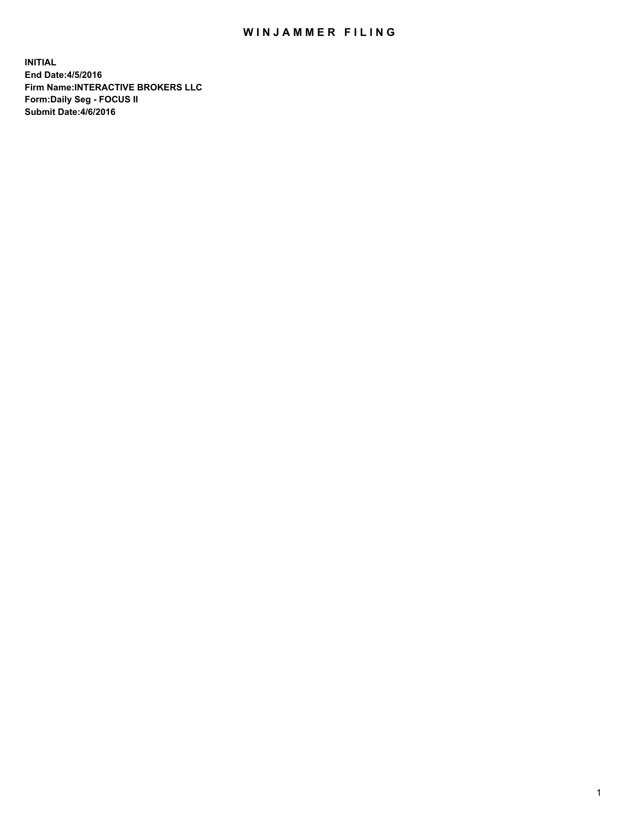## WIN JAMMER FILING

**INITIAL End Date:4/5/2016 Firm Name:INTERACTIVE BROKERS LLC Form:Daily Seg - FOCUS II Submit Date:4/6/2016**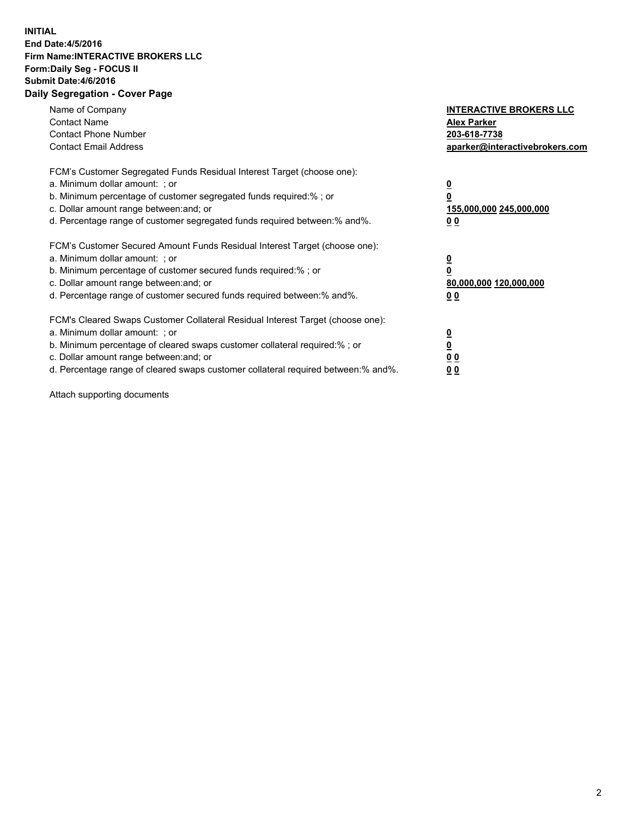## **INITIAL End Date:4/5/2016 Firm Name:INTERACTIVE BROKERS LLC Form:Daily Seg - FOCUS II Submit Date:4/6/2016 Daily Segregation - Cover Page**

| Name of Company<br><b>Contact Name</b><br><b>Contact Phone Number</b><br><b>Contact Email Address</b>                                                                                                                                                                                                                          | <b>INTERACTIVE BROKERS LLC</b><br><b>Alex Parker</b><br>203-618-7738<br>aparker@interactivebrokers.com |
|--------------------------------------------------------------------------------------------------------------------------------------------------------------------------------------------------------------------------------------------------------------------------------------------------------------------------------|--------------------------------------------------------------------------------------------------------|
| FCM's Customer Segregated Funds Residual Interest Target (choose one):<br>a. Minimum dollar amount: ; or<br>b. Minimum percentage of customer segregated funds required:%; or<br>c. Dollar amount range between: and; or<br>d. Percentage range of customer segregated funds required between:% and%.                          | <u>0</u><br>155,000,000 245,000,000<br><u>00</u>                                                       |
| FCM's Customer Secured Amount Funds Residual Interest Target (choose one):<br>a. Minimum dollar amount: ; or<br>b. Minimum percentage of customer secured funds required:% ; or<br>c. Dollar amount range between: and; or<br>d. Percentage range of customer secured funds required between: % and %.                         | <u>0</u><br>80,000,000 120,000,000<br><u>00</u>                                                        |
| FCM's Cleared Swaps Customer Collateral Residual Interest Target (choose one):<br>a. Minimum dollar amount: ; or<br>b. Minimum percentage of cleared swaps customer collateral required:% ; or<br>c. Dollar amount range between: and; or<br>d. Percentage range of cleared swaps customer collateral required between:% and%. | <u>0</u><br>0 <sub>0</sub><br>0 <sub>0</sub>                                                           |

Attach supporting documents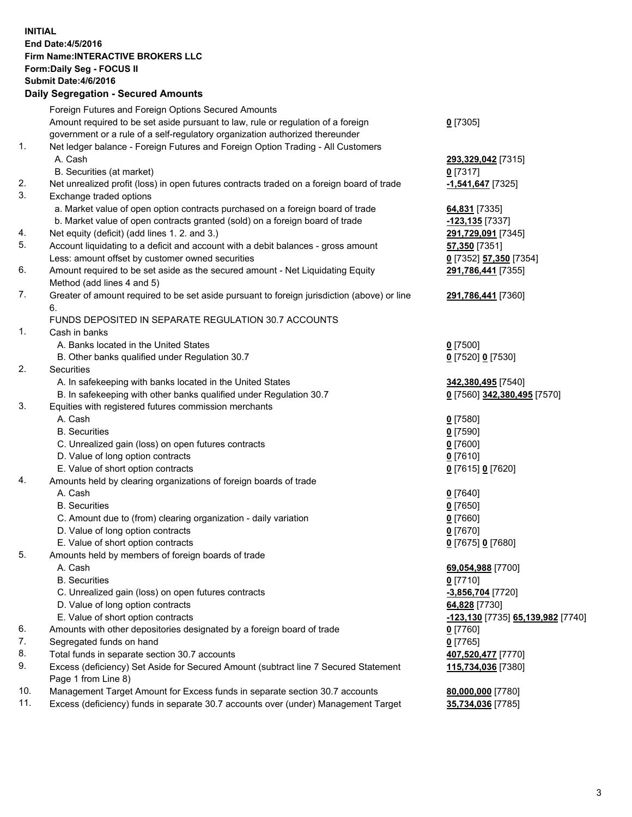## **INITIAL End Date:4/5/2016 Firm Name:INTERACTIVE BROKERS LLC Form:Daily Seg - FOCUS II Submit Date:4/6/2016 Daily Segregation - Secured Amounts**

|     | Foreign Futures and Foreign Options Secured Amounts                                                                             |                                   |
|-----|---------------------------------------------------------------------------------------------------------------------------------|-----------------------------------|
|     | Amount required to be set aside pursuant to law, rule or regulation of a foreign                                                | $0$ [7305]                        |
|     | government or a rule of a self-regulatory organization authorized thereunder                                                    |                                   |
| 1.  | Net ledger balance - Foreign Futures and Foreign Option Trading - All Customers                                                 |                                   |
|     | A. Cash                                                                                                                         | 293,329,042 [7315]                |
|     | B. Securities (at market)                                                                                                       | $0$ [7317]                        |
| 2.  | Net unrealized profit (loss) in open futures contracts traded on a foreign board of trade                                       | -1,541,647 [7325]                 |
| 3.  | Exchange traded options                                                                                                         |                                   |
|     | a. Market value of open option contracts purchased on a foreign board of trade                                                  | 64,831 [7335]                     |
|     | b. Market value of open contracts granted (sold) on a foreign board of trade                                                    | -123,135 [7337]                   |
| 4.  | Net equity (deficit) (add lines 1.2. and 3.)                                                                                    | 291,729,091 [7345]                |
| 5.  | Account liquidating to a deficit and account with a debit balances - gross amount                                               | 57,350 [7351]                     |
|     | Less: amount offset by customer owned securities                                                                                | 0 [7352] 57,350 [7354]            |
| 6.  | Amount required to be set aside as the secured amount - Net Liquidating Equity                                                  | 291,786,441 [7355]                |
|     | Method (add lines 4 and 5)                                                                                                      |                                   |
| 7.  | Greater of amount required to be set aside pursuant to foreign jurisdiction (above) or line                                     | 291,786,441 [7360]                |
|     | 6.                                                                                                                              |                                   |
|     | FUNDS DEPOSITED IN SEPARATE REGULATION 30.7 ACCOUNTS                                                                            |                                   |
| 1.  | Cash in banks                                                                                                                   |                                   |
|     | A. Banks located in the United States                                                                                           | $0$ [7500]                        |
|     | B. Other banks qualified under Regulation 30.7                                                                                  |                                   |
| 2.  | Securities                                                                                                                      | 0 [7520] 0 [7530]                 |
|     |                                                                                                                                 |                                   |
|     | A. In safekeeping with banks located in the United States<br>B. In safekeeping with other banks qualified under Regulation 30.7 | 342,380,495 [7540]                |
| 3.  |                                                                                                                                 | 0 [7560] 342,380,495 [7570]       |
|     | Equities with registered futures commission merchants<br>A. Cash                                                                |                                   |
|     |                                                                                                                                 | $0$ [7580]                        |
|     | <b>B.</b> Securities                                                                                                            | $0$ [7590]                        |
|     | C. Unrealized gain (loss) on open futures contracts                                                                             | $0$ [7600]                        |
|     | D. Value of long option contracts                                                                                               | $0$ [7610]                        |
|     | E. Value of short option contracts                                                                                              | 0 [7615] 0 [7620]                 |
| 4.  | Amounts held by clearing organizations of foreign boards of trade                                                               |                                   |
|     | A. Cash                                                                                                                         | $0$ [7640]                        |
|     | <b>B.</b> Securities                                                                                                            | $0$ [7650]                        |
|     | C. Amount due to (from) clearing organization - daily variation                                                                 | $0$ [7660]                        |
|     | D. Value of long option contracts                                                                                               | $0$ [7670]                        |
|     | E. Value of short option contracts                                                                                              | 0 [7675] 0 [7680]                 |
| 5.  | Amounts held by members of foreign boards of trade                                                                              |                                   |
|     | A. Cash                                                                                                                         | 69,054,988 [7700]                 |
|     | <b>B.</b> Securities                                                                                                            | $0$ [7710]                        |
|     | C. Unrealized gain (loss) on open futures contracts                                                                             | -3,856,704 [7720]                 |
|     | D. Value of long option contracts                                                                                               | 64,828 [7730]                     |
|     | E. Value of short option contracts                                                                                              | -123,130 [7735] 65,139,982 [7740] |
| 6.  | Amounts with other depositories designated by a foreign board of trade                                                          | $0$ [7760]                        |
| 7.  | Segregated funds on hand                                                                                                        | $0$ [7765]                        |
| 8.  | Total funds in separate section 30.7 accounts                                                                                   | 407,520,477 [7770]                |
| 9.  | Excess (deficiency) Set Aside for Secured Amount (subtract line 7 Secured Statement                                             | 115,734,036 [7380]                |
|     | Page 1 from Line 8)                                                                                                             |                                   |
| 10. | Management Target Amount for Excess funds in separate section 30.7 accounts                                                     | 80,000,000 [7780]                 |
| 11. | Excess (deficiency) funds in separate 30.7 accounts over (under) Management Target                                              | 35,734,036 [7785]                 |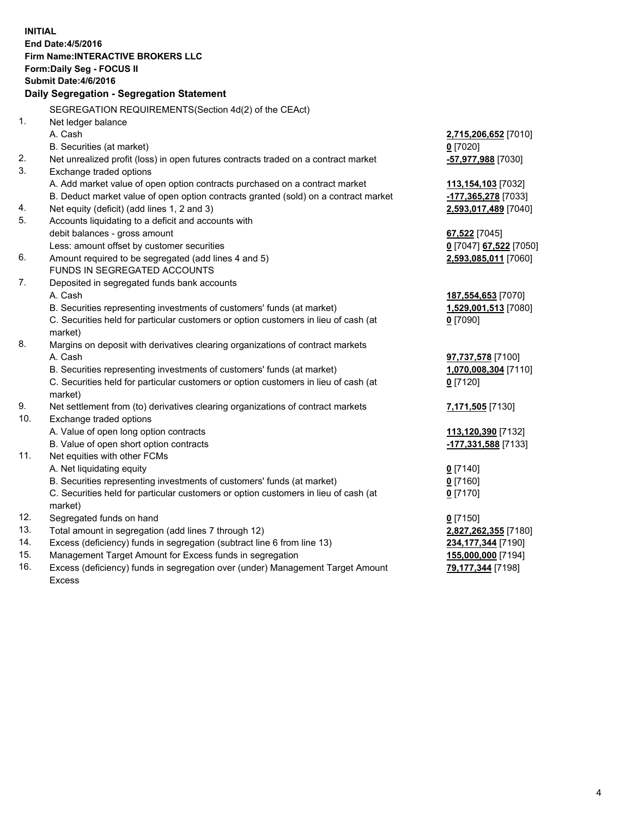**INITIAL End Date:4/5/2016 Firm Name:INTERACTIVE BROKERS LLC Form:Daily Seg - FOCUS II Submit Date:4/6/2016 Daily Segregation - Segregation Statement** SEGREGATION REQUIREMENTS(Section 4d(2) of the CEAct) 1. Net ledger balance A. Cash **2,715,206,652** [7010] B. Securities (at market) **0** [7020] 2. Net unrealized profit (loss) in open futures contracts traded on a contract market **-57,977,988** [7030] 3. Exchange traded options A. Add market value of open option contracts purchased on a contract market **113,154,103** [7032] B. Deduct market value of open option contracts granted (sold) on a contract market **-177,365,278** [7033] 4. Net equity (deficit) (add lines 1, 2 and 3) **2,593,017,489** [7040] 5. Accounts liquidating to a deficit and accounts with debit balances - gross amount **67,522** [7045] Less: amount offset by customer securities **0** [7047] **67,522** [7050] 6. Amount required to be segregated (add lines 4 and 5) **2,593,085,011** [7060] FUNDS IN SEGREGATED ACCOUNTS 7. Deposited in segregated funds bank accounts A. Cash **187,554,653** [7070] B. Securities representing investments of customers' funds (at market) **1,529,001,513** [7080] C. Securities held for particular customers or option customers in lieu of cash (at market) **0** [7090] 8. Margins on deposit with derivatives clearing organizations of contract markets A. Cash **97,737,578** [7100] B. Securities representing investments of customers' funds (at market) **1,070,008,304** [7110] C. Securities held for particular customers or option customers in lieu of cash (at market) **0** [7120] 9. Net settlement from (to) derivatives clearing organizations of contract markets **7,171,505** [7130] 10. Exchange traded options A. Value of open long option contracts **113,120,390** [7132] B. Value of open short option contracts **-177,331,588** [7133] 11. Net equities with other FCMs A. Net liquidating equity **0** [7140] B. Securities representing investments of customers' funds (at market) **0** [7160] C. Securities held for particular customers or option customers in lieu of cash (at market) **0** [7170] 12. Segregated funds on hand **0** [7150] 13. Total amount in segregation (add lines 7 through 12) **2,827,262,355** [7180] 14. Excess (deficiency) funds in segregation (subtract line 6 from line 13) **234,177,344** [7190] 15. Management Target Amount for Excess funds in segregation **155,000,000** [7194] 16. Excess (deficiency) funds in segregation over (under) Management Target Amount **79,177,344** [7198]

Excess